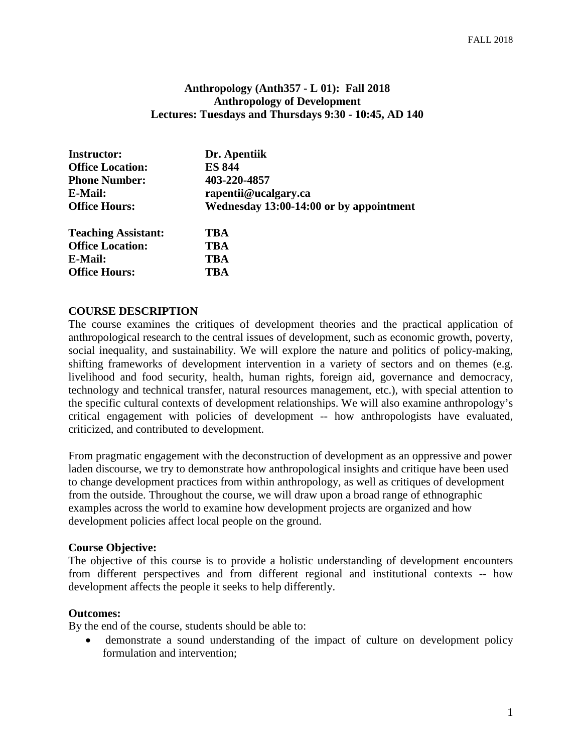#### **Anthropology (Anth357 - L 01): Fall 2018 Anthropology of Development Lectures: Tuesdays and Thursdays 9:30 - 10:45, AD 140**

| <b>Instructor:</b>         | Dr. Apentiik                            |  |
|----------------------------|-----------------------------------------|--|
| <b>Office Location:</b>    | <b>ES 844</b>                           |  |
| <b>Phone Number:</b>       | 403-220-4857                            |  |
| E-Mail:                    | rapentii@ucalgary.ca                    |  |
| <b>Office Hours:</b>       | Wednesday 13:00-14:00 or by appointment |  |
| <b>Teaching Assistant:</b> | TBA                                     |  |
| <b>Office Location:</b>    | TBA                                     |  |
| E-Mail:                    | TBA                                     |  |
| <b>Office Hours:</b>       | TBA                                     |  |

#### **COURSE DESCRIPTION**

The course examines the critiques of development theories and the practical application of anthropological research to the central issues of development, such as economic growth, poverty, social inequality, and sustainability. We will explore the nature and politics of policy-making, shifting frameworks of development intervention in a variety of sectors and on themes (e.g. livelihood and food security, health, human rights, foreign aid, governance and democracy, technology and technical transfer, natural resources management, etc.), with special attention to the specific cultural contexts of development relationships. We will also examine anthropology's critical engagement with policies of development -- how anthropologists have evaluated, criticized, and contributed to development.

From pragmatic engagement with the deconstruction of development as an oppressive and power laden discourse, we try to demonstrate how anthropological insights and critique have been used to change development practices from within anthropology, as well as critiques of development from the outside. Throughout the course, we will draw upon a broad range of ethnographic examples across the world to examine how development projects are organized and how development policies affect local people on the ground.

#### **Course Objective:**

The objective of this course is to provide a holistic understanding of development encounters from different perspectives and from different regional and institutional contexts -- how development affects the people it seeks to help differently.

#### **Outcomes:**

By the end of the course, students should be able to:

• demonstrate a sound understanding of the impact of culture on development policy formulation and intervention;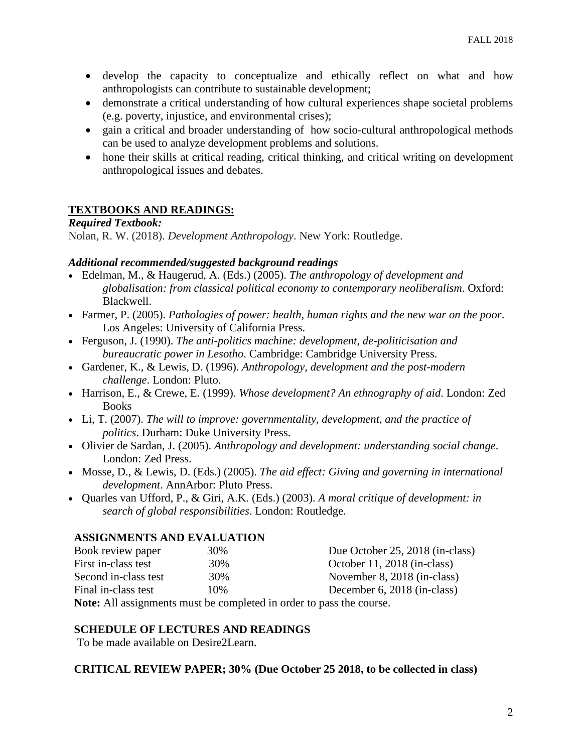- develop the capacity to conceptualize and ethically reflect on what and how anthropologists can contribute to sustainable development;
- demonstrate a critical understanding of how cultural experiences shape societal problems (e.g. poverty, injustice, and environmental crises);
- gain a critical and broader understanding of how socio-cultural anthropological methods can be used to analyze development problems and solutions.
- hone their skills at critical reading, critical thinking, and critical writing on development anthropological issues and debates.

# **TEXTBOOKS AND READINGS:**

### *Required Textbook:*

Nolan, R. W. (2018). *Development Anthropology*. New York: Routledge.

### *Additional recommended/suggested background readings*

- Edelman, M., & Haugerud, A. (Eds.) (2005). *The anthropology of development and globalisation: from classical political economy to contemporary neoliberalism*. Oxford: Blackwell.
- Farmer, P. (2005). *Pathologies of power: health, human rights and the new war on the poor*. Los Angeles: University of California Press.
- Ferguson, J. (1990). *The anti-politics machine: development, de-politicisation and bureaucratic power in Lesotho*. Cambridge: Cambridge University Press.
- Gardener, K., & Lewis, D. (1996). *Anthropology, development and the post-modern challenge*. London: Pluto.
- Harrison, E., & Crewe, E. (1999). *Whose development? An ethnography of aid*. London: Zed Books
- Li, T. (2007). *The will to improve: governmentality, development, and the practice of politics*. Durham: Duke University Press.
- Olivier de Sardan, J. (2005). *Anthropology and development: understanding social change*. London: Zed Press.
- Mosse, D., & Lewis, D. (Eds.) (2005). *The aid effect: Giving and governing in international development*. AnnArbor: Pluto Press.
- Quarles van Ufford, P., & Giri, A.K. (Eds.) (2003). *A moral critique of development: in search of global responsibilities*. London: Routledge.

# **ASSIGNMENTS AND EVALUATION**

| Book review paper    | 30% | Due October 25, 2018 (in-class) |
|----------------------|-----|---------------------------------|
| First in-class test  | 30% | October 11, 2018 (in-class)     |
| Second in-class test | 30% | November 8, 2018 (in-class)     |
| Final in-class test  | 10% | December 6, 2018 (in-class)     |
|                      |     |                                 |

**Note:** All assignments must be completed in order to pass the course.

# **SCHEDULE OF LECTURES AND READINGS**

To be made available on Desire2Learn.

#### **CRITICAL REVIEW PAPER; 30% (Due October 25 2018, to be collected in class)**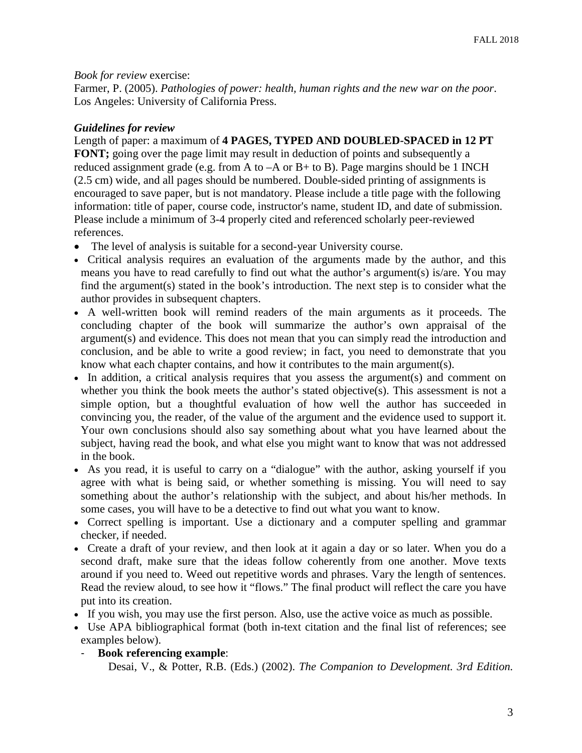*Book for review* exercise:

Farmer, P. (2005). *Pathologies of power: health, human rights and the new war on the poor*. Los Angeles: University of California Press.

### *Guidelines for review*

Length of paper: a maximum of **4 PAGES, TYPED AND DOUBLED-SPACED in 12 PT FONT;** going over the page limit may result in deduction of points and subsequently a reduced assignment grade (e.g. from A to  $-A$  or B+ to B). Page margins should be 1 INCH (2.5 cm) wide, and all pages should be numbered. Double-sided printing of assignments is encouraged to save paper, but is not mandatory. Please include a title page with the following information: title of paper, course code, instructor's name, student ID, and date of submission. Please include a minimum of 3-4 properly cited and referenced scholarly peer-reviewed references.

- The level of analysis is suitable for a second-year University course.
- Critical analysis requires an evaluation of the arguments made by the author, and this means you have to read carefully to find out what the author's argument(s) is/are. You may find the argument(s) stated in the book's introduction. The next step is to consider what the author provides in subsequent chapters.
- A well-written book will remind readers of the main arguments as it proceeds. The concluding chapter of the book will summarize the author's own appraisal of the argument(s) and evidence. This does not mean that you can simply read the introduction and conclusion, and be able to write a good review; in fact, you need to demonstrate that you know what each chapter contains, and how it contributes to the main argument(s).
- In addition, a critical analysis requires that you assess the argument(s) and comment on whether you think the book meets the author's stated objective(s). This assessment is not a simple option, but a thoughtful evaluation of how well the author has succeeded in convincing you, the reader, of the value of the argument and the evidence used to support it. Your own conclusions should also say something about what you have learned about the subject, having read the book, and what else you might want to know that was not addressed in the book.
- As you read, it is useful to carry on a "dialogue" with the author, asking yourself if you agree with what is being said, or whether something is missing. You will need to say something about the author's relationship with the subject, and about his/her methods. In some cases, you will have to be a detective to find out what you want to know.
- Correct spelling is important. Use a dictionary and a computer spelling and grammar checker, if needed.
- Create a draft of your review, and then look at it again a day or so later. When you do a second draft, make sure that the ideas follow coherently from one another. Move texts around if you need to. Weed out repetitive words and phrases. Vary the length of sentences. Read the review aloud, to see how it "flows." The final product will reflect the care you have put into its creation.
- If you wish, you may use the first person. Also, use the active voice as much as possible.
- Use APA bibliographical format (both in-text citation and the final list of references; see examples below).
	- **Book referencing example**:

Desai, V., & Potter, R.B. (Eds.) (2002). *The Companion to Development. 3rd Edition.*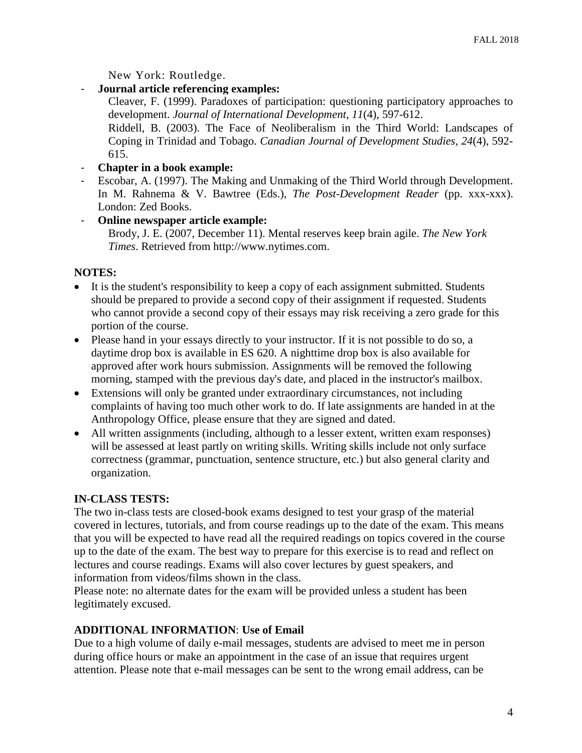New York: Routledge.

- **Journal article referencing examples:**

Cleaver, F. (1999). Paradoxes of participation: questioning participatory approaches to development. *Journal of International Development*, *11*(4), 597-612.

Riddell, B. (2003). The Face of Neoliberalism in the Third World: Landscapes of Coping in Trinidad and Tobago. *Canadian Journal of Development Studies, 24*(4), 592- 615.

- **Chapter in a book example:**
- Escobar, A. (1997). The Making and Unmaking of the Third World through Development. In M. Rahnema & V. Bawtree (Eds.), *The Post-Development Reader* (pp. xxx-xxx). London: Zed Books.
- **Online newspaper article example:**

Brody, J. E. (2007, December 11). Mental reserves keep brain agile. *The New York Times*. Retrieved from http://www.nytimes.com.

# **NOTES:**

- It is the student's responsibility to keep a copy of each assignment submitted. Students should be prepared to provide a second copy of their assignment if requested. Students who cannot provide a second copy of their essays may risk receiving a zero grade for this portion of the course.
- Please hand in your essays directly to your instructor. If it is not possible to do so, a daytime drop box is available in ES 620. A nighttime drop box is also available for approved after work hours submission. Assignments will be removed the following morning, stamped with the previous day's date, and placed in the instructor's mailbox.
- Extensions will only be granted under extraordinary circumstances, not including complaints of having too much other work to do. If late assignments are handed in at the Anthropology Office, please ensure that they are signed and dated.
- All written assignments (including, although to a lesser extent, written exam responses) will be assessed at least partly on writing skills. Writing skills include not only surface correctness (grammar, punctuation, sentence structure, etc.) but also general clarity and organization.

# **IN-CLASS TESTS:**

The two in-class tests are closed-book exams designed to test your grasp of the material covered in lectures, tutorials, and from course readings up to the date of the exam. This means that you will be expected to have read all the required readings on topics covered in the course up to the date of the exam. The best way to prepare for this exercise is to read and reflect on lectures and course readings. Exams will also cover lectures by guest speakers, and information from videos/films shown in the class.

Please note: no alternate dates for the exam will be provided unless a student has been legitimately excused.

# **ADDITIONAL INFORMATION**: **Use of Email**

Due to a high volume of daily e-mail messages, students are advised to meet me in person during office hours or make an appointment in the case of an issue that requires urgent attention. Please note that e-mail messages can be sent to the wrong email address, can be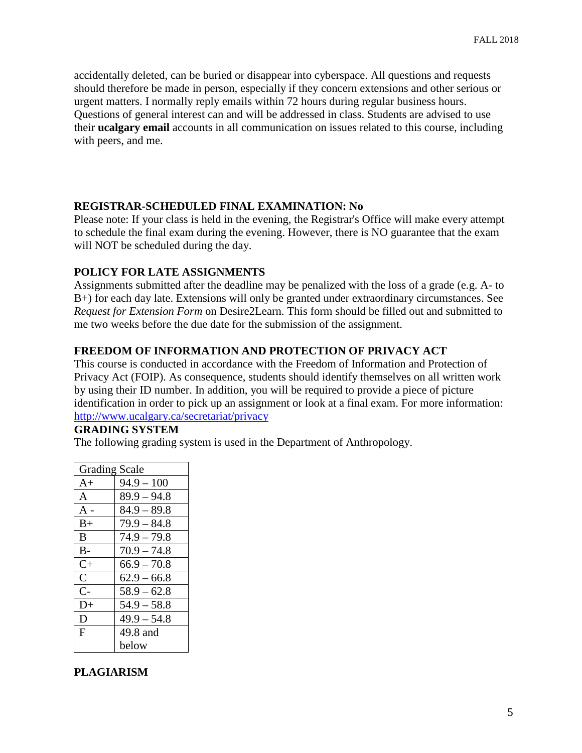accidentally deleted, can be buried or disappear into cyberspace. All questions and requests should therefore be made in person, especially if they concern extensions and other serious or urgent matters. I normally reply emails within 72 hours during regular business hours. Questions of general interest can and will be addressed in class. Students are advised to use their **ucalgary email** accounts in all communication on issues related to this course, including with peers, and me.

### **REGISTRAR-SCHEDULED FINAL EXAMINATION: No**

Please note: If your class is held in the evening, the Registrar's Office will make every attempt to schedule the final exam during the evening. However, there is NO guarantee that the exam will NOT be scheduled during the day.

### **POLICY FOR LATE ASSIGNMENTS**

Assignments submitted after the deadline may be penalized with the loss of a grade (e.g. A- to B+) for each day late. Extensions will only be granted under extraordinary circumstances. See *Request for Extension Form* on Desire2Learn. This form should be filled out and submitted to me two weeks before the due date for the submission of the assignment.

### **FREEDOM OF INFORMATION AND PROTECTION OF PRIVACY ACT**

This course is conducted in accordance with the Freedom of Information and Protection of Privacy Act (FOIP). As consequence, students should identify themselves on all written work by using their ID number. In addition, you will be required to provide a piece of picture identification in order to pick up an assignment or look at a final exam. For more information: <http://www.ucalgary.ca/secretariat/privacy>

#### **GRADING SYSTEM**

The following grading system is used in the Department of Anthropology.

| <b>Grading Scale</b> |               |  |
|----------------------|---------------|--|
| $A+$                 | $94.9 - 100$  |  |
| $\mathsf{A}$         | $89.9 - 94.8$ |  |
| A -                  | $84.9 - 89.8$ |  |
| $B+$                 | $79.9 - 84.8$ |  |
| B.                   | $74.9 - 79.8$ |  |
| $B -$                | $70.9 - 74.8$ |  |
| $C+$                 | $66.9 - 70.8$ |  |
| $\overline{C}$       | $62.9 - 66.8$ |  |
| $C-$                 | $58.9 - 62.8$ |  |
| D+                   | $54.9 - 58.8$ |  |
| D                    | $49.9 - 54.8$ |  |
| $\mathbf{F}$         | 49.8 and      |  |
|                      | below         |  |

# **PLAGIARISM**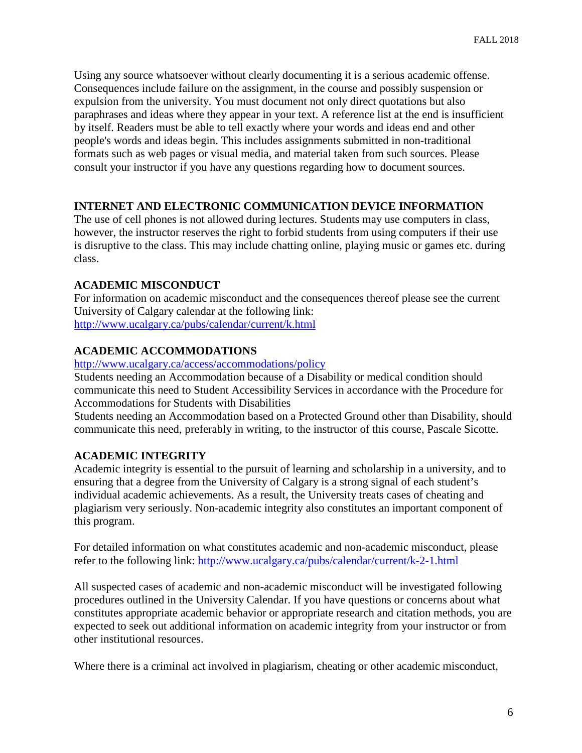Using any source whatsoever without clearly documenting it is a serious academic offense. Consequences include failure on the assignment, in the course and possibly suspension or expulsion from the university. You must document not only direct quotations but also paraphrases and ideas where they appear in your text. A reference list at the end is insufficient by itself. Readers must be able to tell exactly where your words and ideas end and other people's words and ideas begin. This includes assignments submitted in non-traditional formats such as web pages or visual media, and material taken from such sources. Please consult your instructor if you have any questions regarding how to document sources.

## **INTERNET AND ELECTRONIC COMMUNICATION DEVICE INFORMATION**

The use of cell phones is not allowed during lectures. Students may use computers in class, however, the instructor reserves the right to forbid students from using computers if their use is disruptive to the class. This may include chatting online, playing music or games etc. during class.

### **ACADEMIC MISCONDUCT**

For information on academic misconduct and the consequences thereof please see the current University of Calgary calendar at the following link: <http://www.ucalgary.ca/pubs/calendar/current/k.html>

# **ACADEMIC ACCOMMODATIONS**

<http://www.ucalgary.ca/access/accommodations/policy>

Students needing an Accommodation because of a Disability or medical condition should communicate this need to Student Accessibility Services in accordance with the Procedure for Accommodations for Students with Disabilities

Students needing an Accommodation based on a Protected Ground other than Disability, should communicate this need, preferably in writing, to the instructor of this course, Pascale Sicotte.

# **ACADEMIC INTEGRITY**

Academic integrity is essential to the pursuit of learning and scholarship in a university, and to ensuring that a degree from the University of Calgary is a strong signal of each student's individual academic achievements. As a result, the University treats cases of cheating and plagiarism very seriously. Non-academic integrity also constitutes an important component of this program.

For detailed information on what constitutes academic and non-academic misconduct, please refer to the following link:<http://www.ucalgary.ca/pubs/calendar/current/k-2-1.html>

All suspected cases of academic and non-academic misconduct will be investigated following procedures outlined in the University Calendar. If you have questions or concerns about what constitutes appropriate academic behavior or appropriate research and citation methods, you are expected to seek out additional information on academic integrity from your instructor or from other institutional resources.

Where there is a criminal act involved in plagiarism, cheating or other academic misconduct,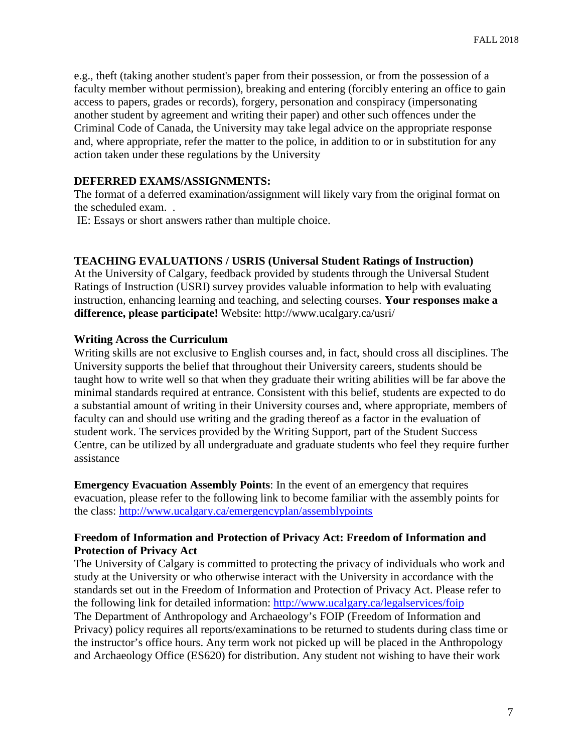e.g., theft (taking another student's paper from their possession, or from the possession of a faculty member without permission), breaking and entering (forcibly entering an office to gain access to papers, grades or records), forgery, personation and conspiracy (impersonating another student by agreement and writing their paper) and other such offences under the Criminal Code of Canada, the University may take legal advice on the appropriate response and, where appropriate, refer the matter to the police, in addition to or in substitution for any action taken under these regulations by the University

#### **DEFERRED EXAMS/ASSIGNMENTS:**

The format of a deferred examination/assignment will likely vary from the original format on the scheduled exam. .

IE: Essays or short answers rather than multiple choice.

#### **TEACHING EVALUATIONS / USRIS (Universal Student Ratings of Instruction)**

At the University of Calgary, feedback provided by students through the Universal Student Ratings of Instruction (USRI) survey provides valuable information to help with evaluating instruction, enhancing learning and teaching, and selecting courses. **Your responses make a difference, please participate!** Website: http://www.ucalgary.ca/usri/

#### **Writing Across the Curriculum**

Writing skills are not exclusive to English courses and, in fact, should cross all disciplines. The University supports the belief that throughout their University careers, students should be taught how to write well so that when they graduate their writing abilities will be far above the minimal standards required at entrance. Consistent with this belief, students are expected to do a substantial amount of writing in their University courses and, where appropriate, members of faculty can and should use writing and the grading thereof as a factor in the evaluation of student work. The services provided by the Writing Support, part of the Student Success Centre, can be utilized by all undergraduate and graduate students who feel they require further assistance

**Emergency Evacuation Assembly Points**: In the event of an emergency that requires evacuation, please refer to the following link to become familiar with the assembly points for the class:<http://www.ucalgary.ca/emergencyplan/assemblypoints>

#### **Freedom of Information and Protection of Privacy Act: Freedom of Information and Protection of Privacy Act**

The University of Calgary is committed to protecting the privacy of individuals who work and study at the University or who otherwise interact with the University in accordance with the standards set out in the Freedom of Information and Protection of Privacy Act. Please refer to the following link for detailed information:<http://www.ucalgary.ca/legalservices/foip> The Department of Anthropology and Archaeology's FOIP (Freedom of Information and Privacy) policy requires all reports/examinations to be returned to students during class time or the instructor's office hours. Any term work not picked up will be placed in the Anthropology and Archaeology Office (ES620) for distribution. Any student not wishing to have their work